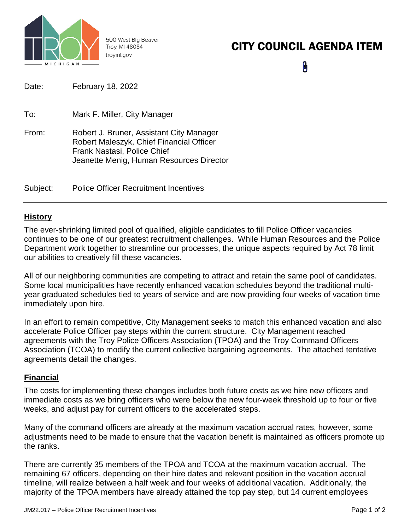

500 West Big Beaver Troy, MI 48084 troymi.gov

# CITY COUNCIL AGENDA ITEM

 $\mathbf{\theta}$ 

| Date:    | February 18, 2022                                                                                                                                               |
|----------|-----------------------------------------------------------------------------------------------------------------------------------------------------------------|
| To:      | Mark F. Miller, City Manager                                                                                                                                    |
| From:    | Robert J. Bruner, Assistant City Manager<br>Robert Maleszyk, Chief Financial Officer<br>Frank Nastasi, Police Chief<br>Jeanette Menig, Human Resources Director |
| Subject: | <b>Police Officer Recruitment Incentives</b>                                                                                                                    |

# **History**

The ever-shrinking limited pool of qualified, eligible candidates to fill Police Officer vacancies continues to be one of our greatest recruitment challenges. While Human Resources and the Police Department work together to streamline our processes, the unique aspects required by Act 78 limit our abilities to creatively fill these vacancies.

All of our neighboring communities are competing to attract and retain the same pool of candidates. Some local municipalities have recently enhanced vacation schedules beyond the traditional multiyear graduated schedules tied to years of service and are now providing four weeks of vacation time immediately upon hire.

In an effort to remain competitive, City Management seeks to match this enhanced vacation and also accelerate Police Officer pay steps within the current structure. City Management reached agreements with the Troy Police Officers Association (TPOA) and the Troy Command Officers Association (TCOA) to modify the current collective bargaining agreements. The attached tentative agreements detail the changes.

# **Financial**

The costs for implementing these changes includes both future costs as we hire new officers and immediate costs as we bring officers who were below the new four-week threshold up to four or five weeks, and adjust pay for current officers to the accelerated steps.

Many of the command officers are already at the maximum vacation accrual rates, however, some adjustments need to be made to ensure that the vacation benefit is maintained as officers promote up the ranks.

There are currently 35 members of the TPOA and TCOA at the maximum vacation accrual. The remaining 67 officers, depending on their hire dates and relevant position in the vacation accrual timeline, will realize between a half week and four weeks of additional vacation. Additionally, the majority of the TPOA members have already attained the top pay step, but 14 current employees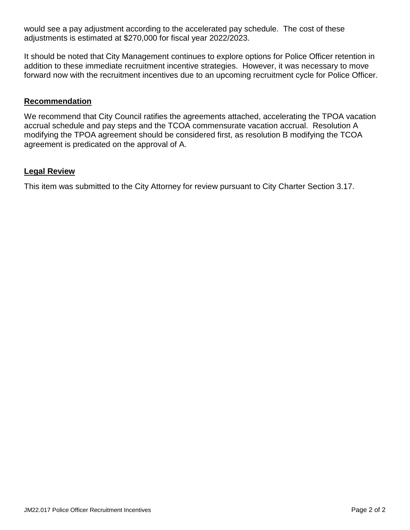would see a pay adjustment according to the accelerated pay schedule. The cost of these adjustments is estimated at \$270,000 for fiscal year 2022/2023.

It should be noted that City Management continues to explore options for Police Officer retention in addition to these immediate recruitment incentive strategies. However, it was necessary to move forward now with the recruitment incentives due to an upcoming recruitment cycle for Police Officer.

### **Recommendation**

We recommend that City Council ratifies the agreements attached, accelerating the TPOA vacation accrual schedule and pay steps and the TCOA commensurate vacation accrual. Resolution A modifying the TPOA agreement should be considered first, as resolution B modifying the TCOA agreement is predicated on the approval of A.

#### **Legal Review**

This item was submitted to the City Attorney for review pursuant to City Charter Section 3.17.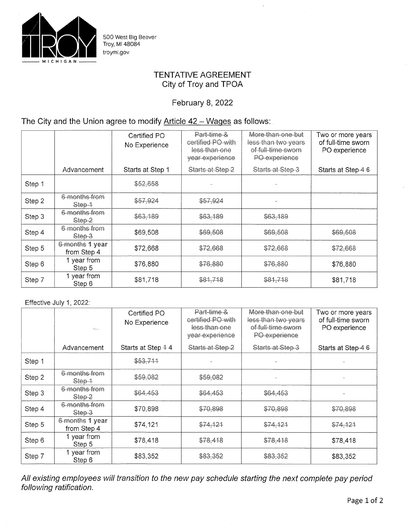

500 West Big Beaver<br>Troy, MI 48084 troymi.gov

## **TENTATIVE AGREEMENT** City of Troy and TPOA

February 8, 2022

# The City and the Union agree to modify Article  $42 - Wages$  as follows:

|        |                                | Certified PO<br>No Experience | Part-time &<br>certified PO with<br>less than one<br>year experience | More than one but<br>less-than-two-years<br>of full-time sworn<br>PO experience | Two or more years<br>of full-time sworn<br>PO experience |
|--------|--------------------------------|-------------------------------|----------------------------------------------------------------------|---------------------------------------------------------------------------------|----------------------------------------------------------|
|        | Advancement                    | Starts at Step 1              | Starts at Step 2                                                     | Starts at Step 3                                                                | Starts at Step-46                                        |
| Step 1 |                                | \$52,658                      |                                                                      |                                                                                 |                                                          |
| Step 2 | 6 months from<br>Step 4        | \$57,924                      | \$57,924                                                             |                                                                                 |                                                          |
| Step 3 | 6 months from<br>Step 2        | \$63,189                      | \$63,189                                                             | \$63,189                                                                        |                                                          |
| Step 4 | 6 months from<br>Step-3        | \$69,508                      | \$69,508                                                             | \$69,508                                                                        | \$69,508                                                 |
| Step 5 | 6-months 1 year<br>from Step 4 | \$72,668                      | \$72,668                                                             | \$72,668                                                                        | \$72,668                                                 |
| Step 6 | 1 year from<br>Step 5          | \$76,880                      | \$76,880                                                             | \$76,880                                                                        | \$76,880                                                 |
| Step 7 | 1 year from<br>Step 6          | \$81,718                      | \$81,718                                                             | \$81,718                                                                        | \$81,718                                                 |

#### Effective July 1, 2022:

|        | $\omega_{\rm H,000}$           | Certified PO<br>No Experience | Part-time &<br>certified PO with<br>less than one<br>year experience | More than one but<br>less than two years<br>of-full-time sworn<br>PO experience | Two or more years<br>of full-time sworn<br>PO experience |
|--------|--------------------------------|-------------------------------|----------------------------------------------------------------------|---------------------------------------------------------------------------------|----------------------------------------------------------|
|        | Advancement                    | Starts at Step 44             | Starts at Step 2                                                     | Starts at Step 3                                                                | Starts at Step-4 6                                       |
| Step 1 |                                | \$53,711                      |                                                                      |                                                                                 |                                                          |
| Step 2 | 6 months from<br>Step 4        | \$59,082                      | \$59,082                                                             |                                                                                 |                                                          |
| Step 3 | 6 months from<br>Step-2        | \$64,453                      | \$64,453                                                             | \$64,453                                                                        |                                                          |
| Step 4 | 6 months from<br>Step 3        | \$70,898                      | \$70,898                                                             | \$70,898                                                                        | \$70,898                                                 |
| Step 5 | 6-months 1 year<br>from Step 4 | \$74,121                      | \$74,121                                                             | \$74,121                                                                        | \$74,121                                                 |
| Step 6 | 1 year from<br>Step 5          | \$78,418                      | \$78,418                                                             | \$78,418                                                                        | \$78,418                                                 |
| Step 7 | 1 year from<br>Step 6          | \$83,352                      | \$83,352                                                             | \$83,352                                                                        | \$83,352                                                 |

All existing employees will transition to the new pay schedule starting the next complete pay period<br>following ratification.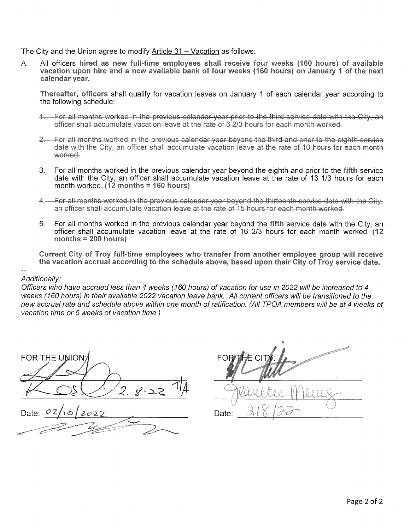The City and the Union agree to modify Article 31 - Vacation as follows:

A. All officers hired as new full-time employees shall receive four weeks (160 hours) of available vacation upon hire and a new available bank of four weeks (160 hours) on January 1 of the next calendar vear.

Thereafter, officers shall qualify for vacation leaves on January 1 of each calendar vear according to the following schedule:

- 1. For all months worked in the previous calendar year prior to the third service date with the City, an officer shall accumulate vacation leave at the rate of 6,2/3 hours for each month worked.
- 2. For all months worked in the previous calendar vear bevond the third and prior to the eighth service date with the City, an officer shall accumulate vacation leave at the rate of 10 hours for each month worked.
- $3<sub>1</sub>$ For all months worked in the previous calendar year beyond the eighth and prior to the fifth service date with the City, an officer shall accumulate vacation leave at the rate of 13 1/3 hours for each month worked.  $(12$  months = 160 hours)
- 4. For all months worked in the previous calendar year beyond the thirteenth service date with the City, an officer shall accumulate vacation leave at the rate of 15 hours for each month worked-
- For all months worked in the previous calendar year beyond the fifth service date with the City, an  $5$ officer shall accumulate vacation leave at the rate of 16 2/3 hours for each month worked. (12 months  $= 200$  hours)

Current City of Troy full-time employees who transfer from another employee group will receive the vacation accrual according to the schedule above, based upon their City of Troy service date.

Additionally:

Officers who have accrued less than 4 weeks (160 hours) of vacation for use in 2022 will be increased to 4 weeks (160 hours) in their available 2022 vacation leave bank. All current officers will be transitioned to the new accrual rate and schedule above within one month of ratification. (All TPOA members will be at 4 weeks of vacation time or 5 weeks of vacation time.)

FOR THE UNION:

 $2027$ Date:

FOR THE CI Date: